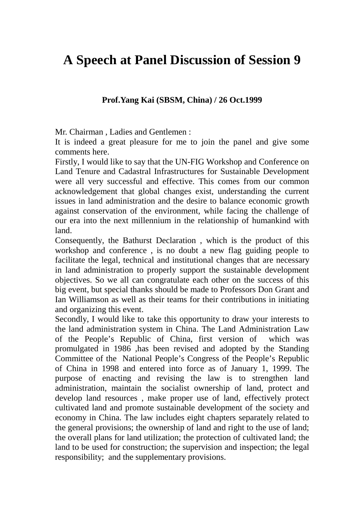## **A Speech at Panel Discussion of Session 9**

## **Prof.Yang Kai (SBSM, China) / 26 Oct.1999**

Mr. Chairman , Ladies and Gentlemen :

It is indeed a great pleasure for me to join the panel and give some comments here.

Firstly, I would like to say that the UN-FIG Workshop and Conference on Land Tenure and Cadastral Infrastructures for Sustainable Development were all very successful and effective. This comes from our common acknowledgement that global changes exist, understanding the current issues in land administration and the desire to balance economic growth against conservation of the environment, while facing the challenge of our era into the next millennium in the relationship of humankind with land.

Consequently, the Bathurst Declaration , which is the product of this workshop and conference , is no doubt a new flag guiding people to facilitate the legal, technical and institutional changes that are necessary in land administration to properly support the sustainable development objectives. So we all can congratulate each other on the success of this big event, but special thanks should be made to Professors Don Grant and Ian Williamson as well as their teams for their contributions in initiating and organizing this event.

Secondly, I would like to take this opportunity to draw your interests to the land administration system in China. The Land Administration Law of the People's Republic of China, first version of which was promulgated in 1986 ,has been revised and adopted by the Standing Committee of the National People's Congress of the People's Republic of China in 1998 and entered into force as of January 1, 1999. The purpose of enacting and revising the law is to strengthen land administration, maintain the socialist ownership of land, protect and develop land resources , make proper use of land, effectively protect cultivated land and promote sustainable development of the society and economy in China. The law includes eight chapters separately related to the general provisions; the ownership of land and right to the use of land; the overall plans for land utilization; the protection of cultivated land; the land to be used for construction; the supervision and inspection; the legal responsibility; and the supplementary provisions.